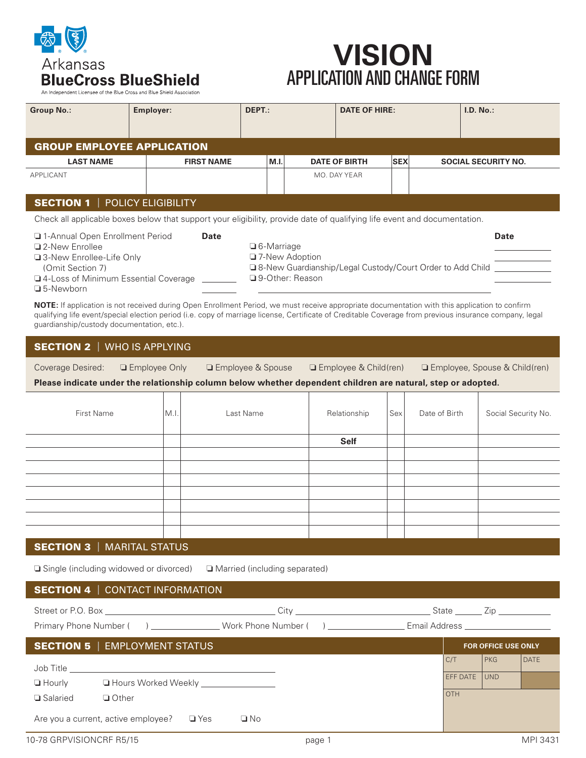

# **VISION** APPLICATION AND CHANGE FORM

An Independent Licensee of the Blue Cross and Blue Shield Association

| <b>Group No.:</b>                     | Employer:         | DEPT.: |  | <b>DATE OF HIRE:</b> |            |  | I.D. No.                   |  |  |  |
|---------------------------------------|-------------------|--------|--|----------------------|------------|--|----------------------------|--|--|--|
| <b>GROUP EMPLOYEE APPLICATION</b>     |                   |        |  |                      |            |  |                            |  |  |  |
| <b>LAST NAME</b>                      | <b>FIRST NAME</b> | M.I.   |  | <b>DATE OF BIRTH</b> | <b>SEX</b> |  | <b>SOCIAL SECURITY NO.</b> |  |  |  |
| APPLICANT                             |                   |        |  | MO. DAY YEAR         |            |  |                            |  |  |  |
| <b>SECTION 1</b>   POLICY ELIGIBILITY |                   |        |  |                      |            |  |                            |  |  |  |

Check all applicable boxes below that support your eligibility, provide date of qualifying life event and documentation.

| 1-Annual Open Enrollment Period        | Date |                                                             | Date |
|----------------------------------------|------|-------------------------------------------------------------|------|
| □ 2-New Enrollee                       |      | $\Box$ 6-Marriage                                           |      |
| □ 3-New Enrollee-Life Only             |      | □ 7-New Adoption                                            |      |
| (Omit Section 7)                       |      | □ 8-New Guardianship/Legal Custody/Court Order to Add Child |      |
| □ 4-Loss of Minimum Essential Coverage |      | □ 9-Other: Reason                                           |      |
| $\Box$ 5-Newborn                       |      |                                                             |      |

**NOTE:** If application is not received during Open Enrollment Period, we must receive appropriate documentation with this application to confirm qualifying life event/special election period (i.e. copy of marriage license, Certificate of Creditable Coverage from previous insurance company, legal guardianship/custody documentation, etc.).

|  | SECTION 2   WHO IS APPLYING |
|--|-----------------------------|
|--|-----------------------------|

| Coverage Desired:<br>□ Employee Only | □ Employee & Spouse | □ Employee & Child |
|--------------------------------------|---------------------|--------------------|
|--------------------------------------|---------------------|--------------------|

Coverage Desired: ❏ Employee Only ❏ Employee & Spouse ❏ Employee & Child(ren) ❏ Employee, Spouse & Child(ren)

**Please indicate under the relationship column below whether dependent children are natural, step or adopted.**

| First Name                         | $MLI$ . | Last Name | Relationship | Sex | Date of Birth | Social Security No. |
|------------------------------------|---------|-----------|--------------|-----|---------------|---------------------|
|                                    |         |           | <b>Self</b>  |     |               |                     |
|                                    |         |           |              |     |               |                     |
|                                    |         |           |              |     |               |                     |
|                                    |         |           |              |     |               |                     |
|                                    |         |           |              |     |               |                     |
|                                    |         |           |              |     |               |                     |
|                                    |         |           |              |     |               |                     |
|                                    |         |           |              |     |               |                     |
| <b>CECTION 2</b>   MARITAL CTATLIC |         |           |              |     |               |                     |

## SECTION 3 |MARITAL STATUS

❏ Single (including widowed or divorced) ❏ Married (including separated)

## SECTION 4 |CONTACT INFORMATION

| Street or P.O. Box            | ∴it∨                | State         | /in                        |             |
|-------------------------------|---------------------|---------------|----------------------------|-------------|
| Primary Phone Number (        | Work Phone Number ( | Email Address |                            |             |
| SECTION 5   EMPLOYMENT STATUS |                     |               | <b>FOR OFFICE USE ONLY</b> |             |
|                               |                     | C/T           | PKG                        | <b>DATE</b> |

| Job Title     |                                                           | C/T          | <b>IPKG</b> | DATE |
|---------------|-----------------------------------------------------------|--------------|-------------|------|
| $\Box$ Hourly | □ Hours Worked Weekly ________________                    | EFF DATE UND |             |      |
| □ Salaried    | $\Box$ Other                                              | <b>OTH</b>   |             |      |
|               | Are you a current, active employee?<br>$\Box$ Yes<br>⊒ No |              |             |      |